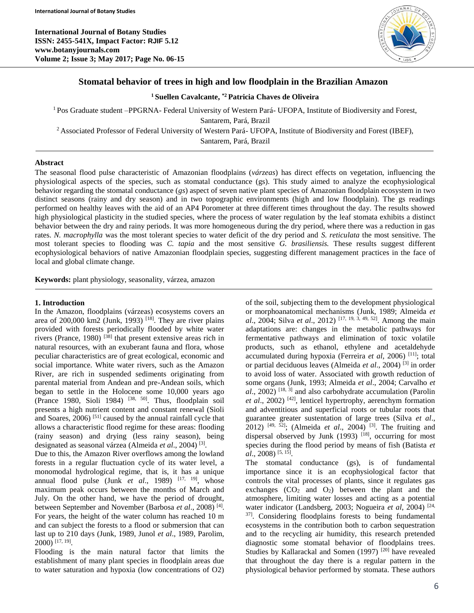**International Journal of Botany Studies ISSN: 2455-541X, Impact Factor: RJIF 5.12 www.botanyjournals.com Volume 2; Issue 3; May 2017; Page No. 06-15**



# **Stomatal behavior of trees in high and low floodplain in the Brazilian Amazon**

**<sup>1</sup> Suellen Cavalcante, \*2 Patricia Chaves de Oliveira**

<sup>1</sup> Pos Graduate student –PPGRNA- Federal University of Western Pará- UFOPA, Institute of Biodiversity and Forest,

Santarem, Pará, Brazil

<sup>2</sup> Associated Professor of Federal University of Western Pará- UFOPA, Institute of Biodiversity and Forest (IBEF),

Santarem, Pará, Brazil

# **Abstract**

The seasonal flood pulse characteristic of Amazonian floodplains (*várzeas*) has direct effects on vegetation, influencing the physiological aspects of the species, such as stomatal conductance (gs). This study aimed to analyze the ecophysiological behavior regarding the stomatal conductance (*gs*) aspect of seven native plant species of Amazonian floodplain ecosystem in two distinct seasons (rainy and dry season) and in two topographic environments (high and low floodplain). The gs readings performed on healthy leaves with the aid of an AP4 Porometer at three different times throughout the day. The results showed high physiological plasticity in the studied species, where the process of water regulation by the leaf stomata exhibits a distinct behavior between the dry and rainy periods. It was more homogeneous during the dry period, where there was a reduction in gas rates. *N. macrophylla* was the most tolerant species to water deficit of the dry period and *S. reticulata* the most sensitive. The most tolerant species to flooding was *C. tapia* and the most sensitive *G. brasiliensis.* These results suggest different ecophysiological behaviors of native Amazonian floodplain species, suggesting different management practices in the face of local and global climate change.

**Keywords:** plant physiology, seasonality, várzea, amazon

# **1. Introduction**

In the Amazon, floodplains (várzeas) ecosystems covers an area of 200,000 km2 (Junk, 1993)  $^{[18]}$ . They are river plains provided with forests periodically flooded by white water rivers (Prance, 1980)  $^{[38]}$  that present extensive areas rich in natural resources, with an exuberant fauna and flora, whose peculiar characteristics are of great ecological, economic and social importance. White water rivers, such as the Amazon River, are rich in suspended sediments originating from parental material from Andean and pre-Andean soils, which began to settle in the Holocene some 10,000 years ago (Prance 1980, Sioli 1984)  $[38, 50]$ . Thus, floodplain soil presents a high nutrient content and constant renewal (Sioli and Soares,  $2006$ <sup>[51]</sup> caused by the annual rainfall cycle that allows a characteristic flood regime for these areas: flooding (rainy season) and drying (less rainy season), being designated as seasonal várzea (Almeida *et al*., 2004) [3] .

Due to this, the Amazon River overflows among the lowland forests in a regular fluctuation cycle of its water level, a monomodal hydrological regime, that is, it has a unique annual flood pulse (Junk *et al.*, 1989) <sup>[17, 19]</sup>, whose maximum peak occurs between the months of March and July. On the other hand, we have the period of drought, between September and November (Barbosa *et al*., 2008) [4] . For years, the height of the water column has reached 10 m and can subject the forests to a flood or submersion that can last up to 210 days (Junk, 1989, Junol *et al*., 1989, Parolim, 2000) [17, 19] .

Flooding is the main natural factor that limits the establishment of many plant species in floodplain areas due to water saturation and hypoxia (low concentrations of O2)

of the soil, subjecting them to the development physiological or morphoanatomical mechanisms (Junk, 1989; Almeida *et al*., 2004; Silva *et al*., 2012) [17, 19, 3, 49, 52]. Among the main adaptations are: changes in the metabolic pathways for fermentative pathways and elimination of toxic volatile products, such as ethanol, ethylene and acetaldehyde accumulated during hypoxia (Ferreira *et al*, 2006) [11]; total or partial deciduous leaves (Almeida *et al*., 2004) [3] in order to avoid loss of water. Associated with growth reduction of some organs (Junk, 1993; Almeida *et al*., 2004; Carvalho *et al*., 2002) [18, 3] and also carbohydrate accumulation (Parolin *et al*., 2002) [42], lenticel hypertrophy, aerenchym formation and adventitious and superficial roots or tubular roots that guarantee greater sustentation of large trees (Silva *et al*., 2012) <sup>[49, 52]</sup>; (Almeida *et al.*, 2004)<sup>[3]</sup>. The fruiting and dispersal observed by Junk (1993)  $[18]$ , occurring for most species during the flood period by means of fish (Batista *et al*., 2008) [5, 15] .

The stomatal conductance (gs), is of fundamental importance since it is an ecophysiological factor that controls the vital processes of plants, since it regulates gas exchanges  $(CO_2$  and  $O_2$ ) between the plant and the atmosphere, limiting water losses and acting as a potential water indicator (Landsberg, 2003; Nogueira *et al*, 2004) [24, 37] . Considering floodplains forests to being fundamental ecosystems in the contribution both to carbon sequestration and to the recycling air humidity, this research pretended diagnostic some stomatal behavior of floodplains trees. Studies by Kallarackal and Somen (1997)<sup>[20]</sup> have revealed that throughout the day there is a regular pattern in the physiological behavior performed by stomata. These authors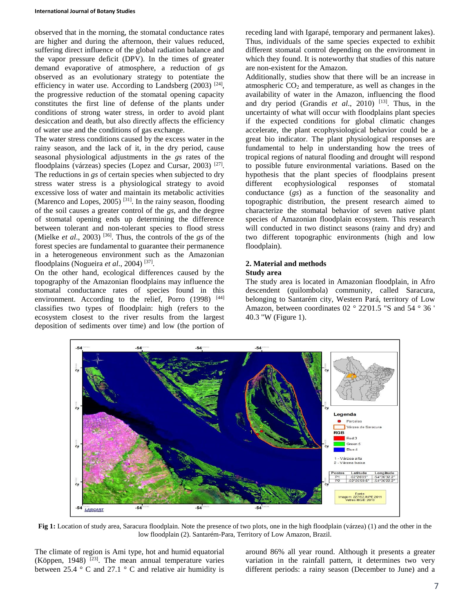observed that in the morning, the stomatal conductance rates are higher and during the afternoon, their values reduced, suffering direct influence of the global radiation balance and the vapor pressure deficit (DPV). In the times of greater demand evaporative of atmosphere, a reduction of *gs* observed as an evolutionary strategy to potentiate the efficiency in water use. According to Landsberg  $(2003)$ <sup>[24]</sup>, the progressive reduction of the stomatal opening capacity constitutes the first line of defense of the plants under conditions of strong water stress, in order to avoid plant desiccation and death, but also directly affects the efficiency of water use and the conditions of gas exchange.

The water stress conditions caused by the excess water in the rainy season, and the lack of it, in the dry period, cause seasonal physiological adjustments in the *gs* rates of the floodplains (várzeas) species (Lopez and Cursar, 2003)<sup>[27]</sup>. The reductions in *gs* of certain species when subjected to dry stress water stress is a physiological strategy to avoid excessive loss of water and maintain its metabolic activities (Marenco and Lopes, 2005)<sup>[31]</sup>. In the rainy season, flooding of the soil causes a greater control of the *gs*, and the degree of stomatal opening ends up determining the difference between tolerant and non-tolerant species to flood stress (Mielke *et al*., 2003) [36]. Thus, the controls of the *gs* of the forest species are fundamental to guarantee their permanence in a heterogeneous environment such as the Amazonian floodplains (Nogueira et al., 2004)<sup>[37]</sup>.

On the other hand, ecological differences caused by the topography of the Amazonian floodplains may influence the stomatal conductance rates of species found in this environment. According to the relief, Porro (1998) [44] classifies two types of floodplain: high (refers to the ecosystem closest to the river results from the largest deposition of sediments over time) and low (the portion of receding land with Igarapé, temporary and permanent lakes). Thus, individuals of the same species expected to exhibit different stomatal control depending on the environment in which they found. It is noteworthy that studies of this nature are non-existent for the Amazon.

Additionally, studies show that there will be an increase in atmospheric  $CO<sub>2</sub>$  and temperature, as well as changes in the availability of water in the Amazon, influencing the flood and dry period (Grandis *et al.*, 2010) <sup>[13]</sup>. Thus, in the uncertainty of what will occur with floodplains plant species if the expected conditions for global climatic changes accelerate, the plant ecophysiological behavior could be a great bio indicator. The plant physiological responses are fundamental to help in understanding how the trees of tropical regions of natural flooding and drought will respond to possible future environmental variations. Based on the hypothesis that the plant species of floodplains present different ecophysiological responses of stomatal conductance (*gs*) as a function of the seasonality and topographic distribution, the present research aimed to characterize the stomatal behavior of seven native plant species of Amazonian floodplain ecosystem. This research will conducted in two distinct seasons (rainy and dry) and two different topographic environments (high and low floodplain).

## **2. Material and methods Study area**

The study area is located in Amazonian floodplain, in Afro descendent (quilombola) community, called Saracura, belonging to Santarém city, Western Pará, territory of Low Amazon, between coordinates 02 ° 22'01.5 "S and 54 ° 36 ' 40.3 "W (Figure 1).



**Fig 1:** Location of study area, Saracura floodplain. Note the presence of two plots, one in the high floodplain (várzea) (1) and the other in the low floodplain (2). Santarém-Para, Territory of Low Amazon, Brazil.

The climate of region is Ami type, hot and humid equatorial (Köppen, 1948)  $[23]$ . The mean annual temperature varies between 25.4  $\degree$  C and 27.1  $\degree$  C and relative air humidity is around 86% all year round. Although it presents a greater variation in the rainfall pattern, it determines two very different periods: a rainy season (December to June) and a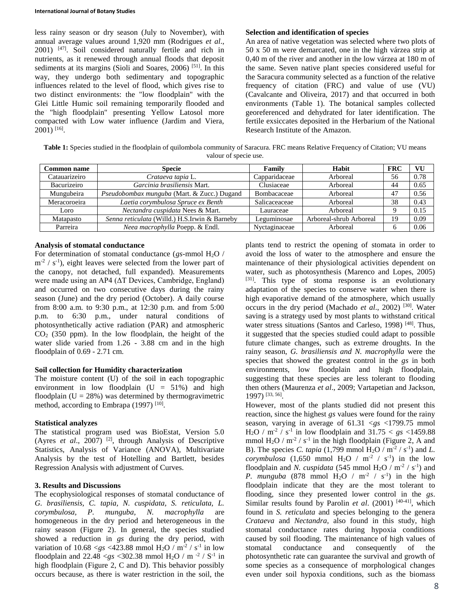#### **International Journal of Botany Studies**

less rainy season or dry season (July to November), with annual average values around 1,920 mm (Rodrigues *et al*., 2001) [47]. Soil considered naturally fertile and rich in nutrients, as it renewed through annual floods that deposit sediments at its margins (Sioli and Soares, 2006)<sup>[51]</sup>. In this way, they undergo both sedimentary and topographic influences related to the level of flood, which gives rise to two distinct environments: the "low floodplain" with the Glei Little Humic soil remaining temporarily flooded and the "high floodplain" presenting Yellow Latosol more compacted with Low water influence (Jardim and Viera, 2001) [16] .

### **Selection and identification of species**

An area of native vegetation was selected where two plots of 50 x 50 m were demarcated, one in the high várzea strip at 0,40 m of the river and another in the low várzea at 180 m of the same. Seven native plant species considered useful for the Saracura community selected as a function of the relative frequency of citation (FRC) and value of use (VU) (Cavalcante and Oliveira, 2017) and that occurred in both environments (Table 1). The botanical samples collected georeferenced and dehydrated for later identification. The fertile exsiccates deposited in the Herbarium of the National Research Institute of the Amazon.

**Table 1:** Species studied in the floodplain of quilombola community of Saracura. FRC means Relative Frequency of Citation; VU means valour of specie use.

| <b>Common name</b> | <b>Specie</b>                                 | Family        | Habit                   | <b>FRC</b> | VU   |
|--------------------|-----------------------------------------------|---------------|-------------------------|------------|------|
| Catauarizeiro      | Crataeva tapia L.                             | Capparidaceae | Arboreal                | 56         | 0.78 |
| Bacurizeiro        | Garcinia brasiliensis Mart.                   | Clusiaceae    | Arboreal                | 44         | 0.65 |
| Mungubeira         | Pseudobombax munguba (Mart. & Zucc.) Dugand   | Bombacaceae   | Arboreal                | 47         | 0.56 |
| Meracoroeira       | Laetia corymbulosa Spruce ex Benth            | Salicaceaceae | Arboreal                | 38         | 0.43 |
| Loro               | Nectandra cuspidata Nees & Mart.              | Lauraceae     | Arboreal                |            | 0.15 |
| Matapasto          | Senna reticulata (Willd.) H.S.Irwin & Barneby | Leguminosae   | Arboreal-shrub Arboreal | 19         | 0.09 |
| Parreira           | Neea macrophylla Poepp. & Endl.               | Nyctaginaceae | Arboreal                |            | 0.06 |

## **Analysis of stomatal conductance**

For determination of stomatal conductance ( $gs$ -mmol H<sub>2</sub>O /  $m<sup>-2</sup>$  / s<sup>-1</sup>), eight leaves were selected from the lower part of the canopy, not detached, full expanded). Measurements were made using an AP4 (ΔT Devices, Cambridge, England) and occurred on two consecutive days during the rainy season (June) and the dry period (October). A daily course from 8:00 a.m. to 9:30 p.m., at 12:30 p.m. and from 5:00 p.m. to 6:30 p.m., under natural conditions of photosynthetically active radiation (PAR) and atmospheric  $CO<sub>2</sub>$  (350 ppm). In the low floodplain, the height of the water slide varied from 1.26 - 3.88 cm and in the high floodplain of 0.69 - 2.71 cm.

## **Soil collection for Humidity characterization**

The moisture content (U) of the soil in each topographic environment in low floodplain  $(U = 51\%)$  and high floodplain  $(U = 28\%)$  was determined by thermogravimetric method, according to Embrapa  $(1997)$ <sup>[10]</sup>.

## **Statistical analyzes**

The statistical program used was BioEstat, Version 5.0 (Ayres *et al*., 2007) [2], through Analysis of Descriptive Statistics, Analysis of Variance (ANOVA), Multivariate Analysis by the test of Hotelling and Bartlett, besides Regression Analysis with adjustment of Curves.

## **3. Results and Discussions**

The ecophysiological responses of stomatal conductance of *G. brasiliensis, C. tapia, N. cuspidata, S. reticulata, L. corymbulosa, P. munguba, N. macrophylla* are homogeneous in the dry period and heterogeneous in the rainy season (Figure 2). In general, the species studied showed a reduction in *gs* during the dry period, with variation of  $10.68 < gs < 423.88$  mmol H<sub>2</sub>O / m<sup>-2</sup> / s<sup>-1</sup> in low floodplain and  $22.48 < g s < 302.38$  mmol H<sub>2</sub>O / m<sup>-2</sup> / S<sup>-1</sup> in high floodplain (Figure 2, C and D). This behavior possibly occurs because, as there is water restriction in the soil, the

plants tend to restrict the opening of stomata in order to avoid the loss of water to the atmosphere and ensure the maintenance of their physiological activities dependent on water, such as photosynthesis (Marenco and Lopes, 2005) [31]. This type of stoma response is an evolutionary adaptation of the species to conserve water when there is high evaporative demand of the atmosphere, which usually occurs in the dry period (Machado *et al*., 2002) [30]. Water saving is a strategy used by most plants to withstand critical water stress situations (Santos and Carleso, 1998)<sup>[48]</sup>. Thus, it suggested that the species studied could adapt to possible future climate changes, such as extreme droughts. In the rainy season, *G. brasiliensis and N. macrophylla* were the species that showed the greatest control in the *gs* in both environments, low floodplain and high floodplain, suggesting that these species are less tolerant to flooding then others (Maurenza *et al*., 2009; Vartapetian and Jackson, 1997) [33, 56] .

However, most of the plants studied did not present this reaction, since the highest *gs* values were found for the rainy season, varying in average of 61.31 <*gs* <1799.75 mmol  $H_2O / m^{-2} / s^{-1}$  in low floodplain and  $31.75 < gs < 1459.88$ mmol  $H_2O / m^{-2} / s^{-1}$  in the high floodplain (Figure 2, A and B). The species *C. tapia* (1,799 mmol  $H_2O / m^{-2} / s^{-1}$ ) and *L*. *corymbulosa* (1,650 mmol H<sub>2</sub>O / m<sup>-2</sup> / s<sup>-1</sup>) in the low floodplain and *N. cuspidata* (545 mmol H<sub>2</sub>O / m<sup>-2</sup> / s<sup>-1</sup>) and *P. munguba* (878 mmol  $H_2O / m^{-2} / s^{-1}$ ) in the high floodplain indicate that they are the most tolerant to flooding, since they presented lower control in the *gs*. Similar results found by Parolin *et al.* (2001) <sup>[40-41]</sup>, which found in *S. reticulata* and species belonging to the genera *Crataeva* and *Nectandra*, also found in this study, high stomatal conductance rates during hypoxia conditions caused by soil flooding. The maintenance of high values of stomatal conductance and consequently of the photosynthetic rate can guarantee the survival and growth of some species as a consequence of morphological changes even under soil hypoxia conditions, such as the biomass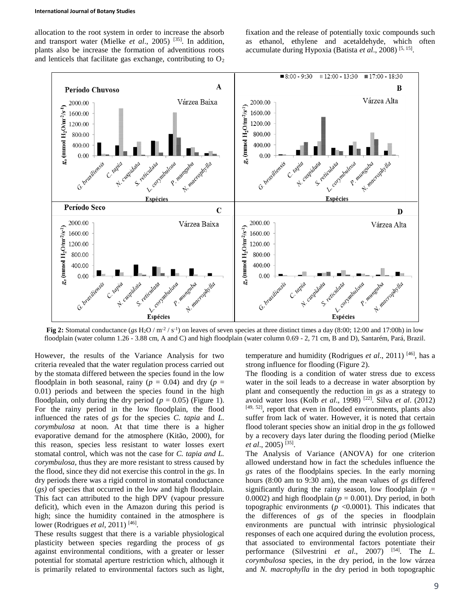allocation to the root system in order to increase the absorb and transport water (Mielke *et al*., 2005) [35]. In addition, plants also be increase the formation of adventitious roots and lenticels that facilitate gas exchange, contributing to  $O<sub>2</sub>$  fixation and the release of potentially toxic compounds such as ethanol, ethylene and acetaldehyde, which often accumulate during Hypoxia (Batista *et al*., 2008) [5, 15] .



**Fig 2:** Stomatal conductance (*gs* H<sub>2</sub>O / m<sup>-2</sup> / s<sup>-1</sup>) on leaves of seven species at three distinct times a day (8:00; 12:00 and 17:00h) in low floodplain (water column 1.26 - 3.88 cm, A and C) and high floodplain (water column 0.69 - 2, 71 cm, B and D), Santarém, Pará, Brazil.

However, the results of the Variance Analysis for two criteria revealed that the water regulation process carried out by the stomata differed between the species found in the low floodplain in both seasonal, rainy ( $p = 0.04$ ) and dry ( $p = 0.04$ ) 0.01) periods and between the species found in the high floodplain, only during the dry period ( $p = 0.05$ ) (Figure 1). For the rainy period in the low floodplain, the flood influenced the rates of *gs* for the species *C. tapia* and *L. corymbulosa* at noon. At that time there is a higher evaporative demand for the atmosphere (Kitão, 2000), for this reason, species less resistant to water losses exert stomatal control, which was not the case for *C. tapia and L. corymbulosa*, thus they are more resistant to stress caused by the flood, since they did not exercise this control in the *gs*. In dry periods there was a rigid control in stomatal conductance (*gs)* of species that occurred in the low and high floodplain. This fact can attributed to the high DPV (vapour pressure deficit), which even in the Amazon during this period is high; since the humidity contained in the atmosphere is lower (Rodrigues *et al*, 2011)<sup>[46]</sup>.

These results suggest that there is a variable physiological plasticity between species regarding the process of *gs* against environmental conditions, with a greater or lesser potential for stomatal aperture restriction which, although it is primarily related to environmental factors such as light, temperature and humidity (Rodrigues *et al*., 2011) [46], has a strong influence for flooding (Figure 2).

The flooding is a condition of water stress due to excess water in the soil leads to a decrease in water absorption by plant and consequently the reduction in *gs* as a strategy to avoid water loss (Kolb *et al*., 1998) [22]. Silva *et al*. (2012) [49, 52], report that even in flooded environments, plants also suffer from lack of water. However, it is noted that certain flood tolerant species show an initial drop in the *gs* followed by a recovery days later during the flooding period (Mielke *et al*., 2005) [35] .

The Analysis of Variance (ANOVA) for one criterion allowed understand how in fact the schedules influence the *gs* rates of the floodplains species. In the early morning hours (8:00 am to 9:30 am), the mean values of *gs* differed significantly during the rainy season, low floodplain  $(p =$ 0.0002) and high floodplain ( $p = 0.001$ ). Dry period, in both topographic environments ( $p$  <0.0001). This indicates that the differences of *gs* of the species in floodplain environments are punctual with intrinsic physiological responses of each one acquired during the evolution process, that associated to environmental factors potentiate their performance (Silvestrini *et al*., 2007) [54]. The *L. corymbulosa* species, in the dry period, in the low várzea and *N. macrophylla* in the dry period in both topographic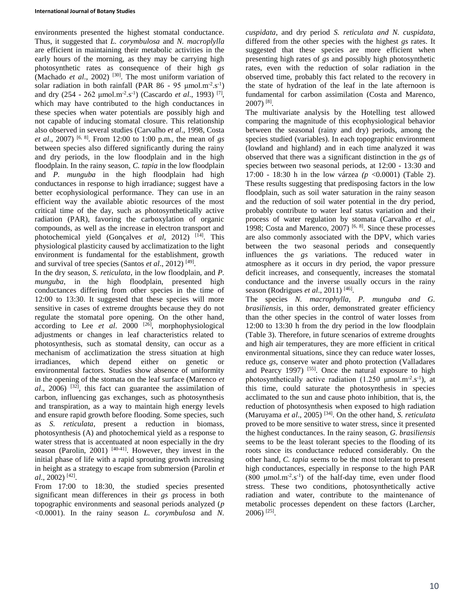environments presented the highest stomatal conductance. Thus, it suggested that *L. corymbulosa* and *N. macroplylla*  are efficient in maintaining their metabolic activities in the early hours of the morning, as they may be carrying high photosynthetic rates as consequence of their high *gs* (Machado *et al.*, 2002)<sup>[30]</sup>. The most uniform variation of solar radiation in both rainfall (PAR  $86 - 95 \mu \text{mol} \cdot \text{m}^{-2} \cdot \text{s}^{-1}$ ) and dry (254 - 262 μmol.m<sup>-2</sup>.s<sup>-1</sup>) (Cascardo *et al.*, 1993)<sup>[7]</sup>, which may have contributed to the high conductances in these species when water potentials are possibly high and not capable of inducing stomatal closure. This relationship also observed in several studies (Carvalho *et al*., 1998, Costa *et al*., 2007) [6, 8]. From 12:00 to 1:00 p.m., the mean of *gs* between species also differed significantly during the rainy and dry periods, in the low floodplain and in the high floodplain. In the rainy season, *C. tapia* in the low floodplain and *P. munguba* in the high floodplain had high conductances in response to high irradiance; suggest have a better ecophysiological performance. They can use in an efficient way the available abiotic resources of the most critical time of the day, such as photosynthetically active radiation (PAR), favoring the carboxylation of organic compounds, as well as the increase in electron transport and photochemical yield (Gonçalves *et al*, 2012) [14]. This physiological plasticity caused by acclimatization to the light environment is fundamental for the establishment, growth and survival of tree species (Santos *et al.*, 2012)<sup>[49]</sup>.

In the dry season, *S. reticulata*, in the low floodplain, and *P. munguba*, in the high floodplain, presented high conductances differing from other species in the time of 12:00 to 13:30. It suggested that these species will more sensitive in cases of extreme droughts because they do not regulate the stomatal pore opening. On the other hand, according to Lee *et al.* 2000<sup>[26]</sup>, morphophysiological adjustments or changes in leaf characteristics related to photosynthesis, such as stomatal density, can occur as a mechanism of acclimatization the stress situation at high irradiances, which depend either on genetic or environmental factors. Studies show absence of uniformity in the opening of the stomata on the leaf surface (Marenco *et*   $al$ , 2006) <sup>[32]</sup>, this fact can guarantee the assimilation of carbon, influencing gas exchanges, such as photosynthesis and transpiration, as a way to maintain high energy levels and ensure rapid growth before flooding. Some species, such as *S. reticulata*, present a reduction in biomass, photosynthesis (A) and photochemical yield as a response to water stress that is accentuated at noon especially in the dry season (Parolin, 2001) [40-41]. However, they invest in the initial phase of life with a rapid sprouting growth increasing in height as a strategy to escape from submersion (Parolin *et al*., 2002) [42] .

From 17:00 to 18:30, the studied species presented significant mean differences in their *gs* process in both topographic environments and seasonal periods analyzed (*p* <0.0001). In the rainy season *L. corymbulosa* and *N.* 

*cuspidata*, and dry period *S. reticulata and N. cuspidata*, differed from the other species with the highest *gs* rates. It suggested that these species are more efficient when presenting high rates of *gs* and possibly high photosynthetic rates, even with the reduction of solar radiation in the observed time, probably this fact related to the recovery in the state of hydration of the leaf in the late afternoon is fundamental for carbon assimilation (Costa and Marenco, 2007) [8] .

The multivariate analysis by the Hotelling test allowed comparing the magnitude of this ecophysiological behavior between the seasonal (rainy and dry) periods, among the species studied (variables). In each topographic environment (lowland and highland) and in each time analyzed it was observed that there was a significant distinction in the *gs* of species between two seasonal periods, at 12:00 - 13:30 and 17:00 - 18:30 h in the low várzea *(p* <0.0001) (Table 2). These results suggesting that predisposing factors in the low floodplain, such as soil water saturation in the rainy season and the reduction of soil water potential in the dry period, probably contribute to water leaf status variation and their process of water regulation by stomata (Carvalho *et al*., 1998; Costa and Marenco, 2007)  $[6, 8]$ . Since these processes are also commonly associated with the DPV, which varies between the two seasonal periods and consequently influences the *gs* variations. The reduced water in atmosphere as it occurs in dry period, the vapor pressure deficit increases, and consequently, increases the stomatal conductance and the inverse usually occurs in the rainy season (Rodrigues *et al.*, 2011)<sup>[46]</sup>.

The species *N. macrophylla, P. munguba and G. brasiliensis*, in this order, demonstrated greater efficiency than the other species in the control of water losses from 12:00 to 13:30 h from the dry period in the low floodplain (Table 3). Therefore, in future scenarios of extreme droughts and high air temperatures, they are more efficient in critical environmental situations, since they can reduce water losses, reduce *gs*, conserve water and photo protection (Valladares and Pearcy 1997) [55]. Once the natural exposure to high photosynthetically active radiation  $(1.250 \text{ µmol} \cdot \text{m}^{-2} \cdot \text{s}^{-1})$ , at this time, could saturate the photosynthesis in species acclimated to the sun and cause photo inhibition, that is, the reduction of photosynthesis when exposed to high radiation (Maruyama *et al*., 2005) [34]. On the other hand, *S. reticulata* proved to be more sensitive to water stress, since it presented the highest conductances. In the rainy season, *G. brasiliensis* seems to be the least tolerant species to the flooding of its roots since its conductance reduced considerably. On the other hand, *C. tapia* seems to be the most tolerant to present high conductances, especially in response to the high PAR  $(800 \text{ µmol} \cdot \text{m}^{-2} \cdot \text{s}^{-1})$  of the half-day time, even under flood stress. These two conditions, photosynthetically active radiation and water, contribute to the maintenance of metabolic processes dependent on these factors (Larcher, 2006) [25] .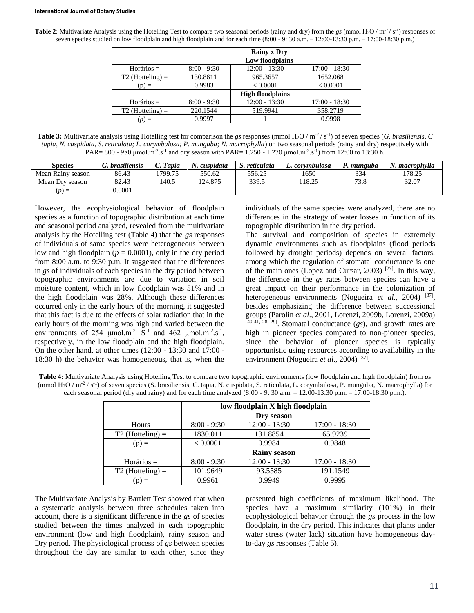#### **International Journal of Botany Studies**

**Table 2:** Multivariate Analysis using the Hotelling Test to compare two seasonal periods (rainy and dry) from the *gs* (mmol H<sub>2</sub>O / m<sup>-2</sup> / s<sup>-1</sup>) responses of seven species studied on low floodplain and high floodplain and for each time (8:00 - 9: 30 a.m. – 12:00-13:30 p.m. – 17:00-18:30 p.m.)

|                    | <b>Rainy x Dry</b> |                         |                 |  |  |
|--------------------|--------------------|-------------------------|-----------------|--|--|
|                    | Low floodplains    |                         |                 |  |  |
| $Horários =$       | $8:00 - 9:30$      | $12:00 - 13:30$         | $17:00 - 18:30$ |  |  |
| $T2$ (Hotteling) = | 130.8611           | 965.3657                | 1652.068        |  |  |
| $(p) =$            | 0.9983             | < 0.0001                | < 0.0001        |  |  |
|                    |                    | <b>High floodplains</b> |                 |  |  |
| $Horários =$       | $8:00 - 9:30$      | $12:00 - 13:30$         | $17:00 - 18:30$ |  |  |
| $T2$ (Hotteling) = | 220.1544           | 519.9941                | 358.2719        |  |  |
|                    | 0.9997             |                         | 0.9998          |  |  |

**Table 3:** Multivariate analysis using Hotelling test for comparison the *gs* responses (mmol H<sub>2</sub>O / m<sup>-2</sup>/s<sup>-1</sup>) of seven species (*G. brasiliensis*, *C tapia, N. cuspidata, S. reticulata; L. corymbulosa; P. munguba; N. macrophylla*) on two seasonal periods (rainy and dry) respectively with PAR= 800 - 980  $\mu$ mol.m<sup>-2</sup>.s<sup>-1</sup> and dry season with PAR= 1.250 - 1.270  $\mu$ mol.m<sup>-2</sup>.s<sup>-1</sup>) from 12:00 to 13:30 h.

| Species           | <i>brasiliensis</i> | C. Tapia | cuspidata | S. reticulata | L. corvmbulosa | '. munguba         | . macrophvlla |
|-------------------|---------------------|----------|-----------|---------------|----------------|--------------------|---------------|
| Mean Rainy season | 86.43               | 1799.75  | 550.62    | 556.25        | 1650           | 334                | 178.25        |
| Mean Dry season   | 82.43               | .40.5    | 124.875   | 339.5         | 118.25         | <b>70 Q</b><br>ں.ر | 32.07         |
| $(D) =$           | 0.0001              |          |           |               |                |                    |               |

However, the ecophysiological behavior of floodplain species as a function of topographic distribution at each time and seasonal period analyzed, revealed from the multivariate analysis by the Hotelling test (Table 4) that the *gs* responses of individuals of same species were heterogeneous between low and high floodplain ( $p = 0.0001$ ), only in the dry period from 8:00 a.m. to 9:30 p.m. It suggested that the differences in *gs* of individuals of each species in the dry period between topographic environments are due to variation in soil moisture content, which in low floodplain was 51% and in the high floodplain was 28%. Although these differences occurred only in the early hours of the morning, it suggested that this fact is due to the effects of solar radiation that in the early hours of the morning was high and varied between the environments of 254  $\mu$ mol.m<sup>-2.</sup> S<sup>-1</sup> and 462  $\mu$ mol.m<sup>-2</sup>.s<sup>-1</sup>, respectively, in the low floodplain and the high floodplain. On the other hand, at other times (12:00 - 13:30 and 17:00 - 18:30 h) the behavior was homogeneous, that is, when the

individuals of the same species were analyzed, there are no differences in the strategy of water losses in function of its topographic distribution in the dry period.

The survival and composition of species in extremely dynamic environments such as floodplains (flood periods followed by drought periods) depends on several factors, among which the regulation of stomatal conductance is one of the main ones (Lopez and Cursar, 2003)  $[27]$ . In this way, the difference in the *gs* rates between species can have a great impact on their performance in the colonization of heterogeneous environments (Nogueira *et al.*, 2004)<sup>[37]</sup>, besides emphasizing the difference between successional groups (Parolin *et al*., 2001, Lorenzi, 2009b, Lorenzi, 2009a) [40-41, 28, 29] . Stomatal conductance (*gs*), and growth rates are high in pioneer species compared to non-pioneer species, since the behavior of pioneer species is typically opportunistic using resources according to availability in the environment (Nogueira *et al*., 2004) [37] .

**Table 4:** Multivariate Analysis using Hotelling Test to compare two topographic environments (low floodplain and high floodplain) from *gs* (mmol H<sub>2</sub>O / m<sup>-2</sup> / s<sup>-1</sup>) of seven species (S. brasiliensis, C. tapia, N. cuspidata, S. reticulata, L. corymbulosa, P. munguba, N. macrophylla) for each seasonal period (dry and rainy) and for each time analyzed (8:00 - 9: 30 a.m. – 12:00-13:30 p.m. – 17:00-18:30 p.m.).

|                    | low floodplain X high floodplain |                 |                 |  |  |
|--------------------|----------------------------------|-----------------|-----------------|--|--|
|                    | Dry season                       |                 |                 |  |  |
| Hours              | $8:00 - 9:30$                    | $12:00 - 13:30$ | $17:00 - 18:30$ |  |  |
| $T2$ (Hotteling) = | 1830.011                         | 131.8854        | 65.9239         |  |  |
| $(p) \equiv$       | < 0.0001                         | 0.9984          | 0.9848          |  |  |
|                    | <b>Rainy season</b>              |                 |                 |  |  |
| $Horários =$       | $8:00 - 9:30$                    | $12:00 - 13:30$ | $17:00 - 18:30$ |  |  |
| $T2$ (Hotteling) = | 101.9649                         | 93.5585         | 191.1549        |  |  |
| $(p) =$            | 0.9961                           | 0.9949          | 0.9995          |  |  |

The Multivariate Analysis by Bartlett Test showed that when a systematic analysis between three schedules taken into account, there is a significant difference in the *gs* of species studied between the times analyzed in each topographic environment (low and high floodplain), rainy season and Dry period. The physiological process of *gs* between species throughout the day are similar to each other, since they presented high coefficients of maximum likelihood. The species have a maximum similarity (101%) in their ecophysiological behavior through the *gs* process in the low floodplain, in the dry period. This indicates that plants under water stress (water lack) situation have homogeneous dayto-day *gs* responses (Table 5).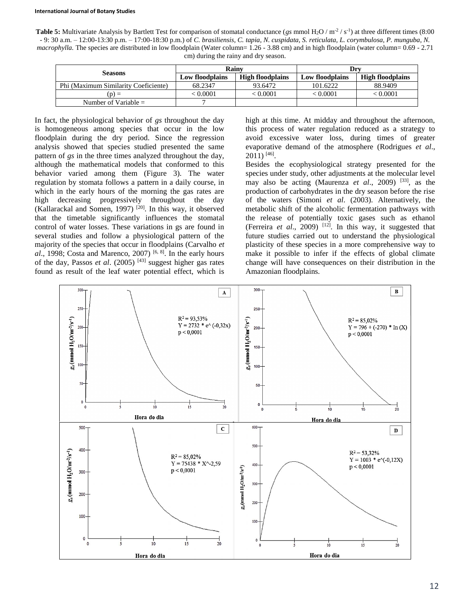**Table 5:** Multivariate Analysis by Bartlett Test for comparison of stomatal conductance (*gs* mmol H<sub>2</sub>O / m<sup>-2</sup> / s<sup>-1</sup>) at three different times (8:00) - 9: 30 a.m. – 12:00-13:30 p.m. – 17:00-18:30 p.m.) of *C. brasiliensis, C. tapia, N. cuspidata, S. reticulata, L. corymbulosa, P. munguba, N. macrophylla*. The species are distributed in low floodplain (Water column= 1.26 - 3.88 cm) and in high floodplain (water column= 0.69 - 2.71 cm) during the rainy and dry season.

| <b>Seasons</b>                       | Rainv           |                         | Drv                    |                         |  |
|--------------------------------------|-----------------|-------------------------|------------------------|-------------------------|--|
|                                      | Low floodplains | <b>High floodplains</b> | <b>Low floodplains</b> | <b>High floodplains</b> |  |
| Phi (Maximum Similarity Coeficiente) | 68.2347         | 93.6472                 | 101.6222               | 88.9409                 |  |
| $(n) =$                              | 0.0001          | < 0.0001                | < 0.0001               | < 0.0001                |  |
| Number of Variable $=$               |                 |                         |                        |                         |  |

In fact, the physiological behavior of *gs* throughout the day is homogeneous among species that occur in the low floodplain during the dry period. Since the regression analysis showed that species studied presented the same pattern of *gs* in the three times analyzed throughout the day, although the mathematical models that conformed to this behavior varied among them (Figure 3). The water regulation by stomata follows a pattern in a daily course, in which in the early hours of the morning the gas rates are high decreasing progressively throughout the day (Kallarackal and Somen, 1997)  $^{[20]}$ . In this way, it observed that the timetable significantly influences the stomatal control of water losses. These variations in gs are found in several studies and follow a physiological pattern of the majority of the species that occur in floodplains (Carvalho *et*  al., 1998; Costa and Marenco, 2007)  $[6, 8]$ . In the early hours of the day, Passos *et al*. (2005) [43] suggest higher gas rates found as result of the leaf water potential effect, which is

high at this time. At midday and throughout the afternoon, this process of water regulation reduced as a strategy to avoid excessive water loss, during times of greater evaporative demand of the atmosphere (Rodrigues *et al*., 2011) [46] .

Besides the ecophysiological strategy presented for the species under study, other adjustments at the molecular level may also be acting (Maurenza *et al*., 2009) [33], as the production of carbohydrates in the dry season before the rise of the waters (Simoni *et al*. (2003). Alternatively, the metabolic shift of the alcoholic fermentation pathways with the release of potentially toxic gases such as ethanol (Ferreira *et al.*, 2009)<sup>[12]</sup>. In this way, it suggested that future studies carried out to understand the physiological plasticity of these species in a more comprehensive way to make it possible to infer if the effects of global climate change will have consequences on their distribution in the Amazonian floodplains.

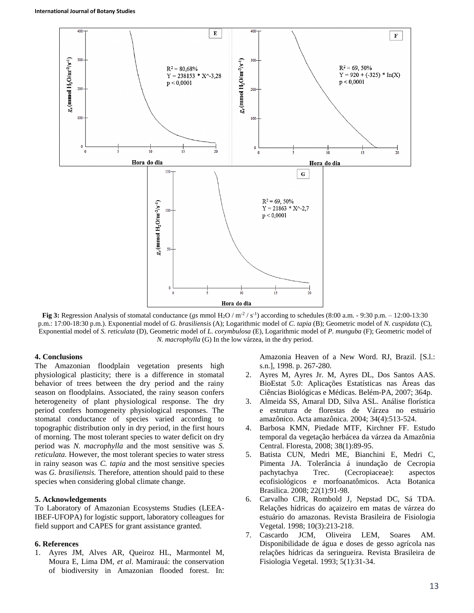

**Fig 3:** Regression Analysis of stomatal conductance (*gs* mmol H<sub>2</sub>O / m<sup>-2</sup> / s<sup>-1</sup>) according to schedules (8:00 a.m. - 9:30 p.m. – 12:00-13:30 p.m.: 17:00-18:30 p.m.). Exponential model of *G. brasiliensis* (A); Logarithmic model of *C. tapia* (B); Geometric model of *N. cuspidata* (C), Exponential model of *S. reticulata* (D), Geometric model of *L. corymbulosa* (E), Logarithmic model of *P. munguba* (F); Geometric model of *N. macrophylla* (G) In the low várzea, in the dry period.

#### **4. Conclusions**

The Amazonian floodplain vegetation presents high physiological plasticity; there is a difference in stomatal behavior of trees between the dry period and the rainy season on floodplains. Associated, the rainy season confers heterogeneity of plant physiological response. The dry period confers homogeneity physiological responses. The stomatal conductance of species varied according to topographic distribution only in dry period, in the first hours of morning. The most tolerant species to water deficit on dry period was *N. macrophylla* and the most sensitive was *S. reticulata.* However, the most tolerant species to water stress in rainy season was *C. tapia* and the most sensitive species was *G. brasiliensis.* Therefore, attention should paid to these species when considering global climate change.

#### **5. Acknowledgements**

To Laboratory of Amazonian Ecosystems Studies (LEEA-IBEF-UFOPA) for logistic support, laboratory colleagues for field support and CAPES for grant assistance granted.

#### **6. References**

1. Ayres JM, Alves AR, Queiroz HL, Marmontel M, Moura E, Lima DM, *et al*. Mamirauá: the conservation of biodiversity in Amazonian flooded forest. In:

Amazonia Heaven of a New Word. RJ, Brazil. [S.l.: s.n.], 1998. p. 267-280.

- 2. Ayres M, Ayres Jr. M, Ayres DL, Dos Santos AAS. BioEstat 5.0: Aplicações Estatísticas nas Áreas das Ciências Biológicas e Médicas. Belém-PA, 2007; 364p.
- 3. Almeida SS, Amaral DD, Silva ASL. Análise florística e estrutura de florestas de Várzea no estuário amazônico. Acta amazônica. 2004; 34(4):513-524.
- 4. Barbosa KMN, Piedade MTF, Kirchner FF. Estudo temporal da vegetação herbácea da várzea da Amazônia Central. Floresta, 2008; 38(1):89-95.
- 5. Batista CUN, Medri ME, Bianchini E, Medri C, Pimenta JA. Tolerância á inundação de Cecropia pachytachya Trec. (Cecropiaceae): aspectos ecofisiológicos e morfoanatômicos. Acta Botanica Brasilica. 2008; 22(1):91-98.
- 6. Carvalho CJR, Rombold J, Nepstad DC, Sá TDA. Relações hídricas do açaizeiro em matas de várzea do estuário do amazonas. Revista Brasileira de Fisiologia Vegetal. 1998; 10(3):213-218.
- 7. Cascardo JCM, Oliveira LEM, Soares AM. Disponibilidade de água e doses de gesso agrícola nas relações hídricas da seringueira. Revista Brasileira de Fisiologia Vegetal. 1993; 5(1):31-34.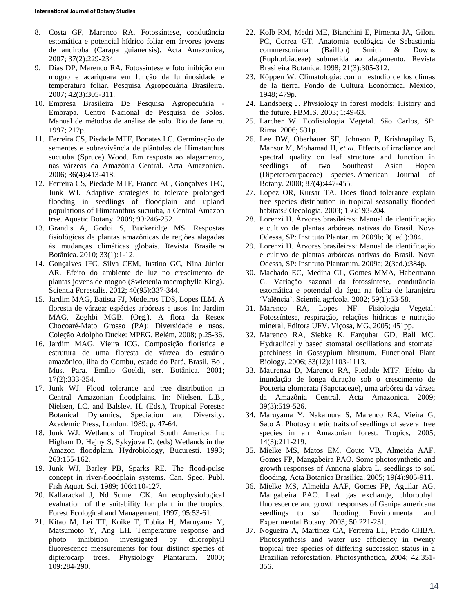- 8. Costa GF, Marenco RA. Fotossíntese, condutância estomática e potencial hídrico foliar em árvores jovens de andiroba (Carapa guianensis). Acta Amazonica, 2007; 37(2):229-234.
- 9. Dias DP, Marenco RA. Fotossíntese e foto inibição em mogno e acariquara em função da luminosidade e temperatura foliar. Pesquisa Agropecuária Brasileira. 2007; 42(3):305-311.
- 10. Empresa Brasileira De Pesquisa Agropecuária Embrapa. Centro Nacional de Pesquisa de Solos. Manual de métodos de análise de solo. Rio de Janeiro. 1997; 212p.
- 11. Ferreira CS, Piedade MTF, Bonates LC. Germinação de sementes e sobrevivência de plântulas de Himatanthus sucuuba (Spruce) Wood. Em resposta ao alagamento, nas várzeas da Amazônia Central. Acta Amazonica. 2006; 36(4):413-418.
- 12. Ferreira CS, Piedade MTF, Franco AC, Gonçalves JFC, Junk WJ. Adaptive strategies to tolerate prolonged flooding in seedlings of floodplain and upland populations of Himatanthus sucuuba, a Central Amazon tree. Aquatic Botany. 2009; 90:246-252.
- 13. Grandis A, Godoi S, Buckeridge MS. Respostas fisiológicas de plantas amazônicas de regiões alagadas ás mudanças climáticas globais. Revista Brasileira Botânica. 2010; 33(1):1-12.
- 14. Gonçalves JFC, Silva CEM, Justino GC, Nina Júnior AR. Efeito do ambiente de luz no crescimento de plantas jovens de mogno (Swietenia macrophylla King). Scientia Forestalis. 2012; 40(95):337-344.
- 15. Jardim MAG, Batista FJ, Medeiros TDS, Lopes ILM. A floresta de várzea: espécies arbóreas e usos. In: Jardim MAG, Zoghbi MGB. (Org.). A flora da Resex Chocoaré-Mato Grosso (PA): Diversidade e usos. Coleção Adolpho Ducke: MPEG, Belém, 2008; p.25-36.
- 16. Jardim MAG, Vieira ICG. Composição florística e estrutura de uma floresta de várzea do estuário amazônico, ilha do Combu, estado do Pará, Brasil. Bol. Mus. Para. Emílio Goeldi, ser. Botânica. 2001; 17(2):333-354.
- 17. Junk WJ. Flood tolerance and tree distribution in Central Amazonian floodplains. In: Nielsen, L.B., Nielsen, I.C. and Balslev. H. (Eds.), Tropical Forests: Botanical Dynamics, Speciation and Diversity. Academic Press, London. 1989; p. 47-64.
- 18. Junk WJ. Wetlands of Tropical South America. In: Higham D, Hejny S, Sykyjova D. (eds) Wetlands in the Amazon floodplain. Hydrobiology, Bucuresti. 1993; 263:155-162.
- 19. Junk WJ, Barley PB, Sparks RE. The flood-pulse concept in river-floodplain systems. Can. Spec. Publ. Fish Aquat. Sci. 1989; 106:110-127.
- 20. Kallarackal J, Nd Somen CK. An ecophysiological evaluation of the suitability for plant in the tropics. Forest Ecological and Management. 1997; 95:53-61.
- 21. Kitao M, Lei TT, Koike T, Tobita H, Maruyama Y, Matsumoto Y, Ang LH. Temperature response and photo inhibition investigated by chlorophyll fluorescence measurements for four distinct species of dipterocarp trees. Physiology Plantarum. 2000; 109:284-290.
- 22. Kolb RM, Medri ME, Bianchini E, Pimenta JA, Giloni PC, Correa GT. Anatomia ecológica de Sebastiania commersoniana (Baillon) Smith & Downs (Euphorbiaceae) submetida ao alagamento. Revista Brasileira Botanica. 1998; 21(3):305-312.
- 23. Köppen W. Climatologia: con un estudio de los climas de la tierra. Fondo de Cultura Econômica. México, 1948; 479p.
- 24. Landsberg J. Physiology in forest models: History and the future. FBMIS. 2003; 1:49-63.
- 25. Larcher W. Ecofisiologia Vegetal. São Carlos, SP: Rima. 2006; 531p.
- 26. Lee DW, Oberbauer SF, Johnson P, Krishnapilay B, Mansor M, Mohamad H, *et al*. Effects of irradiance and spectral quality on leaf structure and function in seedlings of two Southeast Asian Hopea (Dipeterocarpaceae) species. American Journal of Botany. 2000; 87(4):447-455.
- 27. Lopez OR, Kursar TA. Does flood tolerance explain tree species distribution in tropical seasonally flooded habitats? Oecologia. 2003; 136:193-204.
- 28. Lorenzi H. Árvores brasileiras: Manual de identificação e cultivo de plantas arbóreas nativas do Brasil. Nova Odessa, SP: Instituto Plantarum. 2009b; 3(1ed.):384.
- 29. Lorenzi H. Árvores brasileiras: Manual de identificação e cultivo de plantas arbóreas nativas do Brasil. Nova Odessa, SP: Instituto Plantarum. 2009a; 2(3ed.):384p.
- 30. Machado EC, Medina CL, Gomes MMA, Habermann G. Variação sazonal da fotossíntese, condutância estomática e potencial da água na folha de laranjeira 'Valência'. Scientia agrícola. 2002; 59(1):53-58.
- 31. Marenco RA, Lopes NF. Fisiologia Vegetal: Fotossíntese, respiração, relações hídricas e nutrição mineral, Editora UFV. Viçosa, MG, 2005; 451pp.
- 32. Marenco RA, Siebke K, Farquhar GD, Ball MC. Hydraulically based stomatal oscillations and stomatal patchiness in Gossypium hirsutum. Functional Plant Biology. 2006; 33(12):1103-1113.
- 33. Maurenza D, Marenco RA, Piedade MTF. Efeito da inundação de longa duração sob o crescimento de Pouteria glomerata (Sapotaceae), uma arbórea da várzea da Amazônia Central. Acta Amazonica. 2009; 39(3):519-526.
- 34. Maruyama Y, Nakamura S, Marenco RA, Vieira G, Sato A. Photosynthetic traits of seedlings of several tree species in an Amazonian forest. Tropics, 2005; 14(3):211-219.
- 35. Mielke MS, Matos EM, Couto VB, Almeida AAF, Gomes FP, Mangabeira PAO. Some photosynthetic and growth responses of Annona glabra L. seedlings to soil flooding. Acta Botanica Brasilica. 2005; 19(4):905-911.
- 36. Mielke MS, Almeida AAF, Gomes FP, Aguilar AG, Mangabeira PAO. Leaf gas exchange, chlorophyll fluorescence and growth responses of Genipa americana seedlings to soil flooding. Environmental and Experimental Botany. 2003; 50:221-231.
- 37. Nogueira A, Martinez CA, Ferreira LL, Prado CHBA. Photosynthesis and water use efficiency in twenty tropical tree species of differing succession status in a Brazilian reforestation. Photosynthetica, 2004; 42:351- 356.